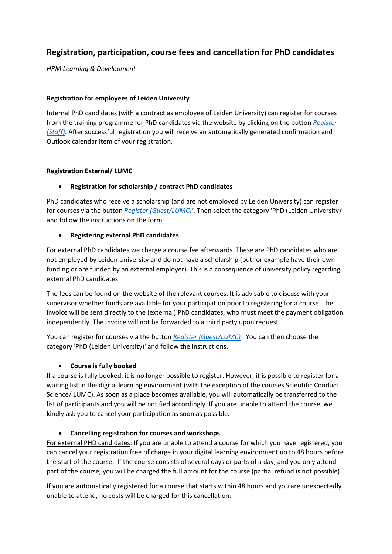# **Registration, participation, course fees and cancellation for PhD candidates**

*HRM Learning & Development*

#### **Registration for employees of Leiden University**

Internal PhD candidates (with a contract as employee of Leiden University) can register for courses from the training programme for PhD candidates via the website by clicking on the button *[Register](https://eur03.safelinks.protection.outlook.com/?url=https%3A%2F%2Flogin.uaccess.leidenuniv.nl%2Fnidp%2Fapp%2Flogin%3Fid%3D2fa-any%26sid%3D0%26option%3Dcredential%26sid%3D0%26target%3Dhttps%253A%252F%252Flogin.uaccess.leidenuniv.nl%252Fnidp%252Fsaml2%252Fidpsend%253Fid%253DSuccessFactors&data=04%7C01%7Cu.jansen%40BB.leidenuniv.nl%7Cf781bb42f79f4be4e4d708da07396c08%7Cca2a7f76dbd74ec091086b3d524fb7c8%7C0%7C0%7C637830240438554300%7CUnknown%7CTWFpbGZsb3d8eyJWIjoiMC4wLjAwMDAiLCJQIjoiV2luMzIiLCJBTiI6Ik1haWwiLCJXVCI6Mn0%3D%7C3000&sdata=hUrEkABnpSW1eg%2BeDmDg0jx%2Bl%2FALY4XFgBKX1gtgUcM%3D&reserved=0)  [\(Staff\)](https://eur03.safelinks.protection.outlook.com/?url=https%3A%2F%2Flogin.uaccess.leidenuniv.nl%2Fnidp%2Fapp%2Flogin%3Fid%3D2fa-any%26sid%3D0%26option%3Dcredential%26sid%3D0%26target%3Dhttps%253A%252F%252Flogin.uaccess.leidenuniv.nl%252Fnidp%252Fsaml2%252Fidpsend%253Fid%253DSuccessFactors&data=04%7C01%7Cu.jansen%40BB.leidenuniv.nl%7Cf781bb42f79f4be4e4d708da07396c08%7Cca2a7f76dbd74ec091086b3d524fb7c8%7C0%7C0%7C637830240438554300%7CUnknown%7CTWFpbGZsb3d8eyJWIjoiMC4wLjAwMDAiLCJQIjoiV2luMzIiLCJBTiI6Ik1haWwiLCJXVCI6Mn0%3D%7C3000&sdata=hUrEkABnpSW1eg%2BeDmDg0jx%2Bl%2FALY4XFgBKX1gtgUcM%3D&reserved=0)*. After successful registration you will receive an automatically generated confirmation and Outlook calendar item of your registration.

#### **Registration External/ LUMC**

## • **Registration for scholarship / contract PhD candidates**

PhD candidates who receive a scholarship (and are not employed by Leiden University) can register for courses via the button *[Register \(Guest/LUMC\)'](https://universi27.plateau.com/learning/user/portal.do?siteID=EXTERNAL)*. Then select the category 'PhD (Leiden University)' and follow the instructions on the form.

#### • **Registering external PhD candidates**

For external PhD candidates we charge a course fee afterwards. These are PhD candidates who are not employed by Leiden University and do not have a scholarship (but for example have their own funding or are funded by an external employer). This is a consequence of university policy regarding external PhD candidates.

The fees can be found on the website of the relevant courses. It is advisable to discuss with your supervisor whether funds are available for your participation prior to registering for a course. The invoice will be sent directly to the (external) PhD candidates, who must meet the payment obligation independently. The invoice will not be forwarded to a third party upon request.

You can register for courses via the button *[Register \(Guest/LUMC\)'](https://universi27.plateau.com/learning/user/portal.do?siteID=EXTERNAL)*. You can then choose the category 'PhD (Leiden University)' and follow the instructions.

## • **Course is fully booked**

If a course is fully booked, it is no longer possible to register. However, it is possible to register for a waiting list in the digital learning environment (with the exception of the courses Scientific Conduct Science/ LUMC). As soon as a place becomes available, you will automatically be transferred to the list of participants and you will be notified accordingly. If you are unable to attend the course, we kindly ask you to cancel your participation as soon as possible.

## • **Cancelling registration for courses and workshops**

For external PHD candidates: If you are unable to attend a course for which you have registered, you can cancel your registration free of charge in your digital learning environment up to 48 hours before the start of the course. If the course consists of several days or parts of a day, and you only attend part of the course, you will be charged the full amount for the course (partial refund is not possible).

If you are automatically registered for a course that starts within 48 hours and you are unexpectedly unable to attend, no costs will be charged for this cancellation.